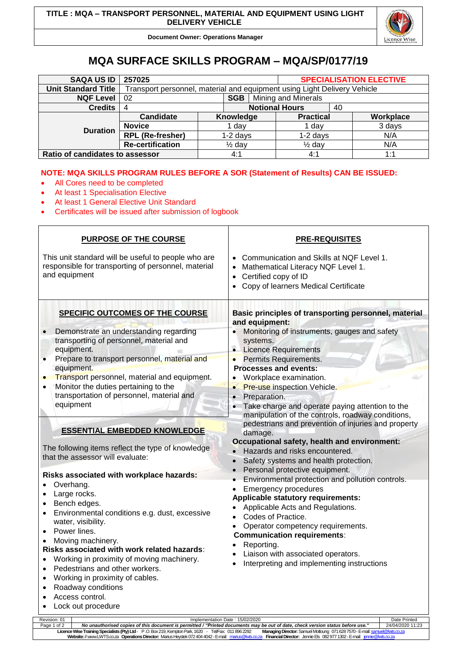

**Document Owner: Operations Manager**

## **MQA SURFACE SKILLS PROGRAM – MQA/SP/0177/19**

| <b>SAQA US ID</b>               | 257025                                                                   |                   |           |                       | <b>SPECIALISATION ELECTIVE</b> |     |           |
|---------------------------------|--------------------------------------------------------------------------|-------------------|-----------|-----------------------|--------------------------------|-----|-----------|
| <b>Unit Standard Title</b>      | Transport personnel, material and equipment using Light Delivery Vehicle |                   |           |                       |                                |     |           |
| <b>NQF Level</b>                | <b>SGB</b><br>02                                                         |                   |           | Mining and Minerals   |                                |     |           |
| <b>Credits</b>                  | 4                                                                        |                   |           | <b>Notional Hours</b> | 40                             |     |           |
| <b>Duration</b>                 | Candidate                                                                |                   | Knowledge |                       | <b>Practical</b>               |     | Workplace |
|                                 | <b>Novice</b>                                                            | dav               |           |                       | 1 day                          |     | 3 days    |
|                                 | <b>RPL (Re-fresher)</b>                                                  | $1-2$ days        |           |                       | $1-2$ days                     |     | N/A       |
|                                 | <b>Re-certification</b>                                                  | $\frac{1}{2}$ day |           |                       | $\frac{1}{2}$ day              |     | N/A       |
| Ratio of candidates to assessor |                                                                          | 4:1               |           | 4:1                   |                                | 1:1 |           |

## **NOTE: MQA SKILLS PROGRAM RULES BEFORE A SOR (Statement of Results) CAN BE ISSUED:**

- All Cores need to be completed
- At least 1 Specialisation Elective
- At least 1 General Elective Unit Standard
- Certificates will be issued after submission of logbook

| <b>PURPOSE OF THE COURSE</b>                                                                                                                                                                                                                                                                                                                                                                                                                  | <b>PRE-REQUISITES</b>                                                                                                                                                                                                                                                                                                                                                                         |  |  |  |  |
|-----------------------------------------------------------------------------------------------------------------------------------------------------------------------------------------------------------------------------------------------------------------------------------------------------------------------------------------------------------------------------------------------------------------------------------------------|-----------------------------------------------------------------------------------------------------------------------------------------------------------------------------------------------------------------------------------------------------------------------------------------------------------------------------------------------------------------------------------------------|--|--|--|--|
| This unit standard will be useful to people who are<br>responsible for transporting of personnel, material<br>and equipment                                                                                                                                                                                                                                                                                                                   | Communication and Skills at NQF Level 1.<br>$\bullet$<br>Mathematical Literacy NQF Level 1.<br>$\bullet$<br>Certified copy of ID<br>$\bullet$<br>Copy of learners Medical Certificate<br>$\bullet$                                                                                                                                                                                            |  |  |  |  |
| SPECIFIC OUTCOMES OF THE COURSE                                                                                                                                                                                                                                                                                                                                                                                                               | Basic principles of transporting personnel, material<br>and equipment:                                                                                                                                                                                                                                                                                                                        |  |  |  |  |
| Demonstrate an understanding regarding<br>transporting of personnel, material and<br>equipment.                                                                                                                                                                                                                                                                                                                                               | Monitoring of instruments, gauges and safety<br>$\bullet$<br>systems.<br>• Licence Requirements                                                                                                                                                                                                                                                                                               |  |  |  |  |
| Prepare to transport personnel, material and<br>equipment.<br>Transport personnel, material and equipment.<br>Monitor the duties pertaining to the<br>transportation of personnel, material and<br>equipment                                                                                                                                                                                                                                  | Permits Requirements.<br><b>Processes and events:</b><br>Workplace examination.<br>$\bullet$<br>Pre-use inspection Vehicle.<br>Preparation.<br>Take charge and operate paying attention to the<br>manipulation of the controls, roadway conditions,                                                                                                                                           |  |  |  |  |
| <b>ESSENTIAL EMBEDDED KNOWLEDGE</b><br>The following items reflect the type of knowledge                                                                                                                                                                                                                                                                                                                                                      | pedestrians and prevention of injuries and property<br>damage.<br>Occupational safety, health and environment:                                                                                                                                                                                                                                                                                |  |  |  |  |
| that the assessor will evaluate:<br>Risks associated with workplace hazards:                                                                                                                                                                                                                                                                                                                                                                  | Hazards and risks encountered.<br>$\bullet$<br>Safety systems and health protection.<br>Personal protective equipment.                                                                                                                                                                                                                                                                        |  |  |  |  |
| Overhang.<br>Large rocks.<br>$\bullet$<br>Bench edges.<br>$\bullet$<br>Environmental conditions e.g. dust, excessive<br>$\bullet$<br>water, visibility.<br>Power lines.<br>Moving machinery.<br>$\bullet$<br>Risks associated with work related hazards:<br>Working in proximity of moving machinery.<br>Pedestrians and other workers.<br>$\bullet$<br>Working in proximity of cables.<br>$\bullet$<br>Roadway conditions<br>Access control. | Environmental protection and pollution controls.<br><b>Emergency procedures</b><br>$\bullet$<br><b>Applicable statutory requirements:</b><br>Applicable Acts and Regulations.<br>Codes of Practice.<br>Operator competency requirements.<br>$\bullet$<br><b>Communication requirements:</b><br>Reporting.<br>Liaison with associated operators.<br>Interpreting and implementing instructions |  |  |  |  |
| Lock out procedure<br>Implementation Date: 15/02/2020                                                                                                                                                                                                                                                                                                                                                                                         |                                                                                                                                                                                                                                                                                                                                                                                               |  |  |  |  |

Revision: 01 Implementation Date : 15/02/2020 Date Printed Page 1 of 2 *No unauthorised copies of this document is permitted / "Printed documents may be out of date, check version status before use."* 24/04/2020 11:23 **Licence Wise Training Specialists (Pty) Ltd**- P .O. Box 219, Kempton Park, 1620 - Tel/Fax: 011 896 2292 **Managing Director:** Samuel Motloung 071628 7570 -E-mai[l: samuel@lwts.co.za](mailto:samuel@lwts.co.za)  **Website:**// www.LWTS.co.za **Operations Director:** Marius Heystek 072404 4042 -E-mail: [marius@lwts.co.za](mailto:marius@lwts.co.za) **Financial Director:** Jennie Els 082977 1302 -E-mail: [jennie@lwts.co.za](mailto:jennie@lwts.co.za)